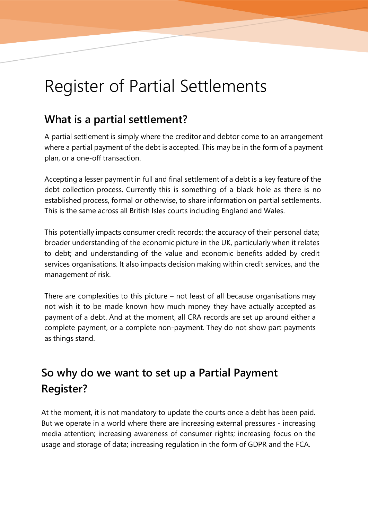## Register of Partial Settlements

Register of Partial Settlements

## **What is a partial settlement?**

A partial settlement is simply where the creditor and debtor come to an arrangement where a partial payment of the debt is accepted. This may be in the form of a payment plan, or a one-off transaction.

Accepting a lesser payment in full and final settlement of a debt is a key feature of the debt collection process. Currently this is something of a black hole as there is no established process, formal or otherwise, to share information on partial settlements. This is the same across all British Isles courts including England and Wales.

This potentially impacts consumer credit records; the accuracy of their personal data; broader understanding of the economic picture in the UK, particularly when it relates to debt; and understanding of the value and economic benefits added by credit services organisations. It also impacts decision making within credit services, and the management of risk.

There are complexities to this picture – not least of all because organisations may not wish it to be made known how much money they have actually accepted as payment of a debt. And at the moment, all CRA records are set up around either a complete payment, or a complete non-payment. They do not show part payments as things stand.

## **So why do we want to set up a Partial Payment Register?**

At the moment, it is not mandatory to update the courts once a debt has been paid. But we operate in a world where there are increasing external pressures - increasing media attention; increasing awareness of consumer rights; increasing focus on the usage and storage of data; increasing regulation in the form of GDPR and the FCA.